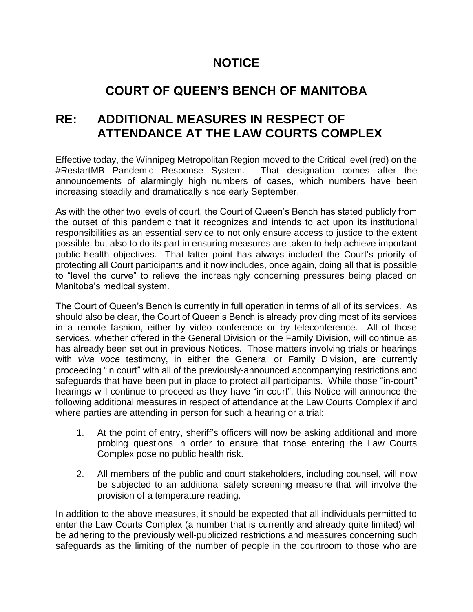## **NOTICE**

## **COURT OF QUEEN'S BENCH OF MANITOBA**

## **RE: ADDITIONAL MEASURES IN RESPECT OF ATTENDANCE AT THE LAW COURTS COMPLEX**

Effective today, the Winnipeg Metropolitan Region moved to the Critical level (red) on the #RestartMB Pandemic Response System. That designation comes after the announcements of alarmingly high numbers of cases, which numbers have been increasing steadily and dramatically since early September.

As with the other two levels of court, the Court of Queen's Bench has stated publicly from the outset of this pandemic that it recognizes and intends to act upon its institutional responsibilities as an essential service to not only ensure access to justice to the extent possible, but also to do its part in ensuring measures are taken to help achieve important public health objectives. That latter point has always included the Court's priority of protecting all Court participants and it now includes, once again, doing all that is possible to "level the curve" to relieve the increasingly concerning pressures being placed on Manitoba's medical system.

The Court of Queen's Bench is currently in full operation in terms of all of its services. As should also be clear, the Court of Queen's Bench is already providing most of its services in a remote fashion, either by video conference or by teleconference. All of those services, whether offered in the General Division or the Family Division, will continue as has already been set out in previous Notices. Those matters involving trials or hearings with *viva voce* testimony, in either the General or Family Division, are currently proceeding "in court" with all of the previously-announced accompanying restrictions and safeguards that have been put in place to protect all participants. While those "in-court" hearings will continue to proceed as they have "in court", this Notice will announce the following additional measures in respect of attendance at the Law Courts Complex if and where parties are attending in person for such a hearing or a trial:

- 1. At the point of entry, sheriff's officers will now be asking additional and more probing questions in order to ensure that those entering the Law Courts Complex pose no public health risk.
- 2. All members of the public and court stakeholders, including counsel, will now be subjected to an additional safety screening measure that will involve the provision of a temperature reading.

In addition to the above measures, it should be expected that all individuals permitted to enter the Law Courts Complex (a number that is currently and already quite limited) will be adhering to the previously well-publicized restrictions and measures concerning such safeguards as the limiting of the number of people in the courtroom to those who are